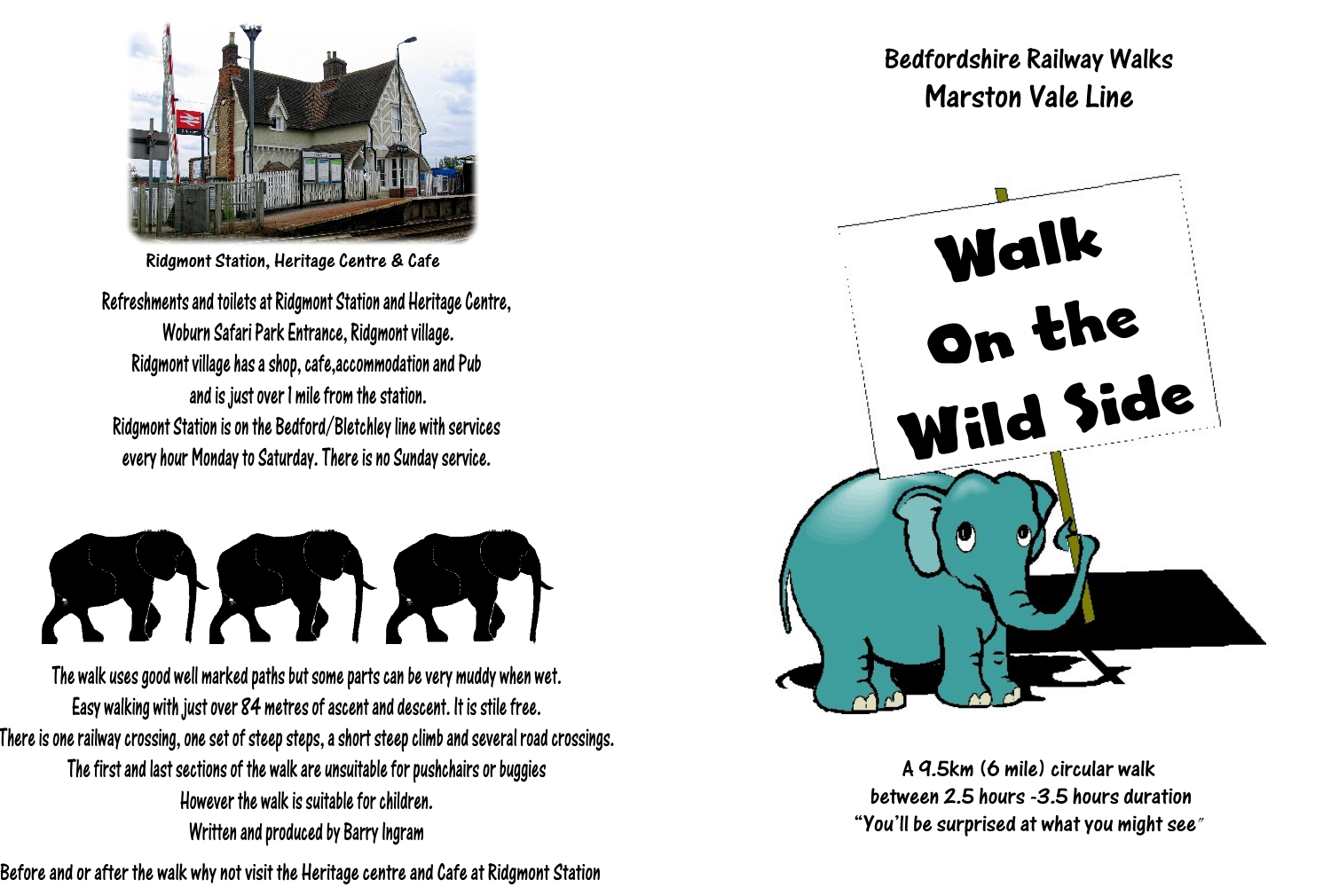

Ridgmont Station, Heritage Centre & Cafe

Refreshments and toilets at Ridgmont Station and Heritage Centre, Woburn Safari Park Entrance, Ridgmont village. Ridgmont village has a shop, cafe,accommodation and Pub and is just over 1 mile from the station. Ridgmont Station is on the Bedford/Bletchley line with services every hour Monday to Saturday. There is no Sunday service.



The walk uses good well marked paths but some parts can be very muddy when wet. Easy walking with just over 84 metres of ascent and descent. It is stile free. There is one railway crossing, one set of steep steps, a short steep climb and several road crossings. The first and last sections of the walk are unsuitable for pushchairs or buggies However the walk is suitable for children. Written and produced by Barry Ingram

Before and or after the walk why not visit the Heritage centre and Cafe at Ridgmont Station

## Bedfordshire Railway Walks Marston Vale Line



A 9.5km (6 mile) circular walk between 2.5 hours -3.5 hours duration "You'll be surprised at what you might see"